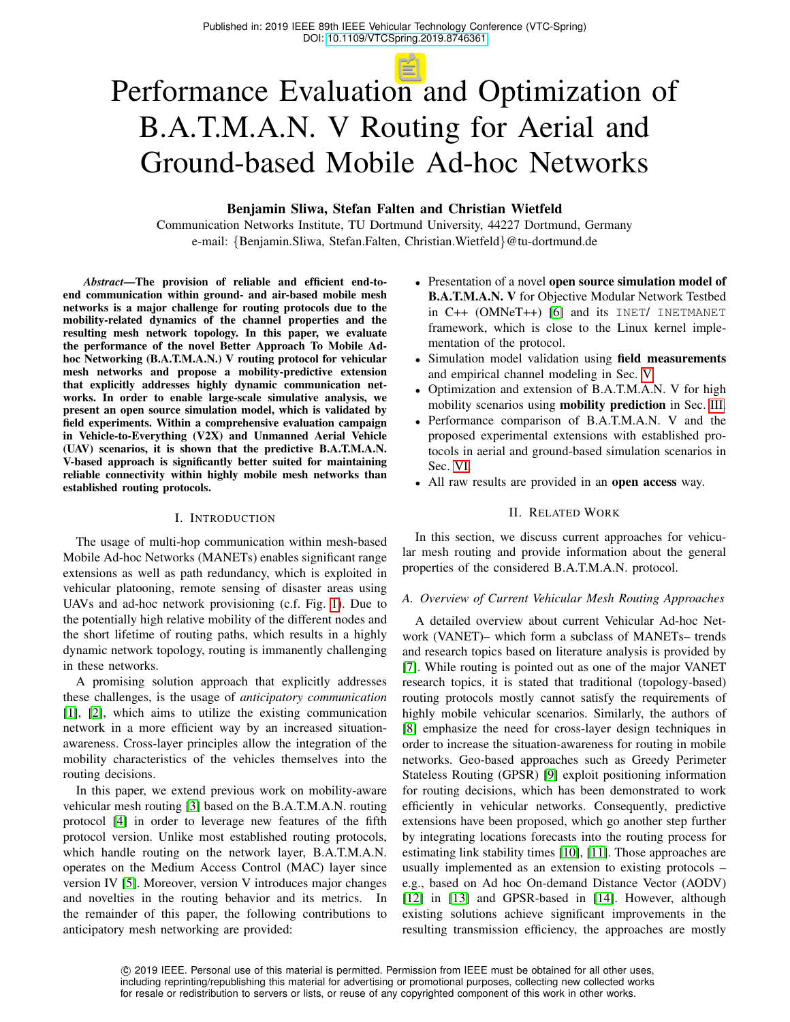# Performance Evaluation and Optimization of B.A.T.M.A.N. V Routing for Aerial and Ground-based Mobile Ad-hoc Networks

# Benjamin Sliwa, Stefan Falten and Christian Wietfeld

Communication Networks Institute, TU Dortmund University, 44227 Dortmund, Germany e-mail: {Benjamin.Sliwa, Stefan.Falten, Christian.Wietfeld}@tu-dortmund.de

*Abstract*—The provision of reliable and efficient end-toend communication within ground- and air-based mobile mesh networks is a major challenge for routing protocols due to the mobility-related dynamics of the channel properties and the resulting mesh network topology. In this paper, we evaluate the performance of the novel Better Approach To Mobile Adhoc Networking (B.A.T.M.A.N.) V routing protocol for vehicular mesh networks and propose a mobility-predictive extension that explicitly addresses highly dynamic communication networks. In order to enable large-scale simulative analysis, we present an open source simulation model, which is validated by field experiments. Within a comprehensive evaluation campaign in Vehicle-to-Everything (V2X) and Unmanned Aerial Vehicle (UAV) scenarios, it is shown that the predictive B.A.T.M.A.N. V-based approach is significantly better suited for maintaining reliable connectivity within highly mobile mesh networks than established routing protocols.

## I. INTRODUCTION

The usage of multi-hop communication within mesh-based Mobile Ad-hoc Networks (MANETs) enables significant range extensions as well as path redundancy, which is exploited in vehicular platooning, remote sensing of disaster areas using UAVs and ad-hoc network provisioning (c.f. Fig. [1\)](#page-1-0). Due to the potentially high relative mobility of the different nodes and the short lifetime of routing paths, which results in a highly dynamic network topology, routing is immanently challenging in these networks.

A promising solution approach that explicitly addresses these challenges, is the usage of *anticipatory communication* [\[1\]](#page-5-0), [\[2\]](#page-5-1), which aims to utilize the existing communication network in a more efficient way by an increased situationawareness. Cross-layer principles allow the integration of the mobility characteristics of the vehicles themselves into the routing decisions.

In this paper, we extend previous work on mobility-aware vehicular mesh routing [\[3\]](#page-5-2) based on the B.A.T.M.A.N. routing protocol [\[4\]](#page-5-3) in order to leverage new features of the fifth protocol version. Unlike most established routing protocols, which handle routing on the network layer, B.A.T.M.A.N. operates on the Medium Access Control (MAC) layer since version IV [\[5\]](#page-5-4). Moreover, version V introduces major changes and novelties in the routing behavior and its metrics. In the remainder of this paper, the following contributions to anticipatory mesh networking are provided:

- Presentation of a novel open source simulation model of B.A.T.M.A.N. V for Objective Modular Network Testbed in C++ (OMNeT++) [\[6\]](#page-5-5) and its INET/ INETMANET framework, which is close to the Linux kernel implementation of the protocol.
- Simulation model validation using field measurements and empirical channel modeling in Sec. [V.](#page-3-0)
- Optimization and extension of B.A.T.M.A.N. V for high mobility scenarios using mobility prediction in Sec. [III.](#page-1-1)
- Performance comparison of B.A.T.M.A.N. V and the proposed experimental extensions with established protocols in aerial and ground-based simulation scenarios in Sec. [VI.](#page-4-0)
- All raw results are provided in an open access way.

# II. RELATED WORK

In this section, we discuss current approaches for vehicular mesh routing and provide information about the general properties of the considered B.A.T.M.A.N. protocol.

# <span id="page-0-0"></span>*A. Overview of Current Vehicular Mesh Routing Approaches*

A detailed overview about current Vehicular Ad-hoc Network (VANET)– which form a subclass of MANETs– trends and research topics based on literature analysis is provided by [\[7\]](#page-6-0). While routing is pointed out as one of the major VANET research topics, it is stated that traditional (topology-based) routing protocols mostly cannot satisfy the requirements of highly mobile vehicular scenarios. Similarly, the authors of [\[8\]](#page-6-1) emphasize the need for cross-layer design techniques in order to increase the situation-awareness for routing in mobile networks. Geo-based approaches such as Greedy Perimeter Stateless Routing (GPSR) [\[9\]](#page-6-2) exploit positioning information for routing decisions, which has been demonstrated to work efficiently in vehicular networks. Consequently, predictive extensions have been proposed, which go another step further by integrating locations forecasts into the routing process for estimating link stability times [\[10\]](#page-6-3), [\[11\]](#page-6-4). Those approaches are usually implemented as an extension to existing protocols – e.g., based on Ad hoc On-demand Distance Vector (AODV) [\[12\]](#page-6-5) in [\[13\]](#page-6-6) and GPSR-based in [\[14\]](#page-6-7). However, although existing solutions achieve significant improvements in the resulting transmission efficiency, the approaches are mostly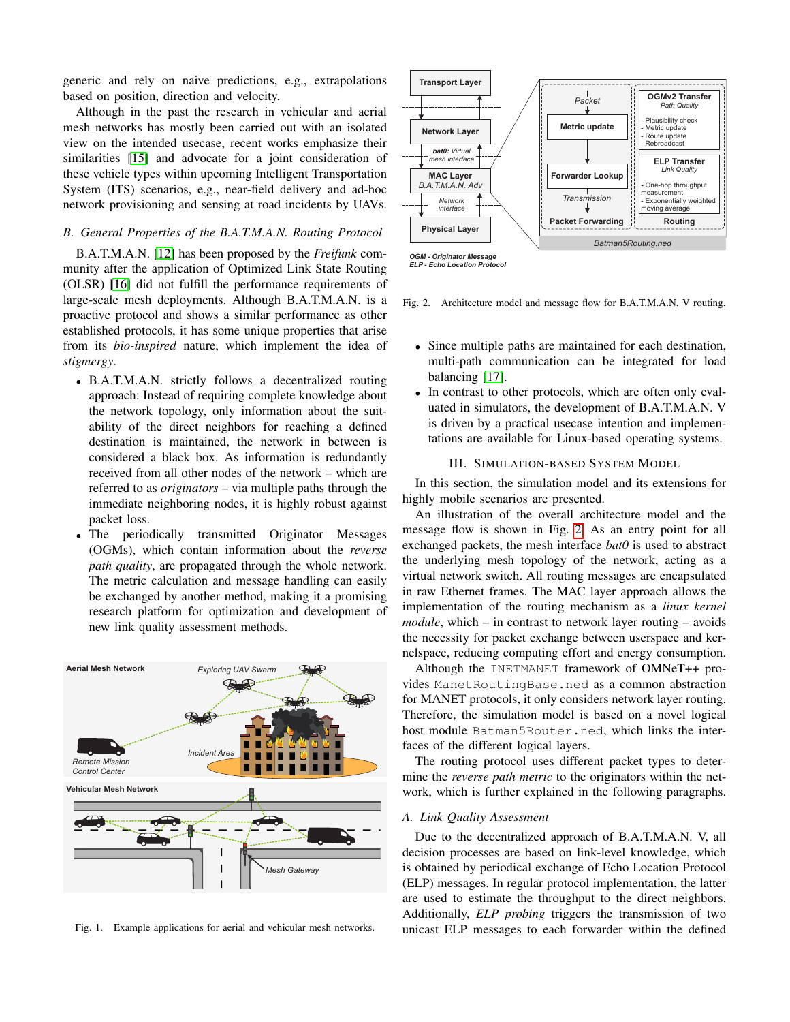generic and rely on naive predictions, e.g., extrapolations based on position, direction and velocity.

Although in the past the research in vehicular and aerial mesh networks has mostly been carried out with an isolated view on the intended usecase, recent works emphasize their similarities [\[15\]](#page-6-8) and advocate for a joint consideration of these vehicle types within upcoming Intelligent Transportation System (ITS) scenarios, e.g., near-field delivery and ad-hoc network provisioning and sensing at road incidents by UAVs.

## *B. General Properties of the B.A.T.M.A.N. Routing Protocol*

B.A.T.M.A.N. [\[12\]](#page-6-5) has been proposed by the *Freifunk* community after the application of Optimized Link State Routing (OLSR) [\[16\]](#page-6-9) did not fulfill the performance requirements of large-scale mesh deployments. Although B.A.T.M.A.N. is a proactive protocol and shows a similar performance as other established protocols, it has some unique properties that arise from its *bio-inspired* nature, which implement the idea of *stigmergy*.

- B.A.T.M.A.N. strictly follows a decentralized routing approach: Instead of requiring complete knowledge about the network topology, only information about the suitability of the direct neighbors for reaching a defined destination is maintained, the network in between is considered a black box. As information is redundantly received from all other nodes of the network – which are referred to as *originators* – via multiple paths through the immediate neighboring nodes, it is highly robust against packet loss.
- The periodically transmitted Originator Messages (OGMs), which contain information about the *reverse path quality*, are propagated through the whole network. The metric calculation and message handling can easily be exchanged by another method, making it a promising research platform for optimization and development of new link quality assessment methods.



<span id="page-1-0"></span>Fig. 1. Example applications for aerial and vehicular mesh networks.



<span id="page-1-2"></span>*OGM - Originator Message ELP - Echo Location Protocol*

Fig. 2. Architecture model and message flow for B.A.T.M.A.N. V routing.

- Since multiple paths are maintained for each destination, multi-path communication can be integrated for load balancing [\[17\]](#page-6-10).
- In contrast to other protocols, which are often only evaluated in simulators, the development of B.A.T.M.A.N. V is driven by a practical usecase intention and implementations are available for Linux-based operating systems.

#### III. SIMULATION-BASED SYSTEM MODEL

<span id="page-1-1"></span>In this section, the simulation model and its extensions for highly mobile scenarios are presented.

An illustration of the overall architecture model and the message flow is shown in Fig. [2.](#page-1-2) As an entry point for all exchanged packets, the mesh interface *bat0* is used to abstract the underlying mesh topology of the network, acting as a virtual network switch. All routing messages are encapsulated in raw Ethernet frames. The MAC layer approach allows the implementation of the routing mechanism as a *linux kernel module*, which – in contrast to network layer routing – avoids the necessity for packet exchange between userspace and kernelspace, reducing computing effort and energy consumption.

Although the INETMANET framework of OMNeT++ provides ManetRoutingBase.ned as a common abstraction for MANET protocols, it only considers network layer routing. Therefore, the simulation model is based on a novel logical host module Batman5Router.ned, which links the interfaces of the different logical layers.

The routing protocol uses different packet types to determine the *reverse path metric* to the originators within the network, which is further explained in the following paragraphs.

#### *A. Link Quality Assessment*

Due to the decentralized approach of B.A.T.M.A.N. V, all decision processes are based on link-level knowledge, which is obtained by periodical exchange of Echo Location Protocol (ELP) messages. In regular protocol implementation, the latter are used to estimate the throughput to the direct neighbors. Additionally, *ELP probing* triggers the transmission of two unicast ELP messages to each forwarder within the defined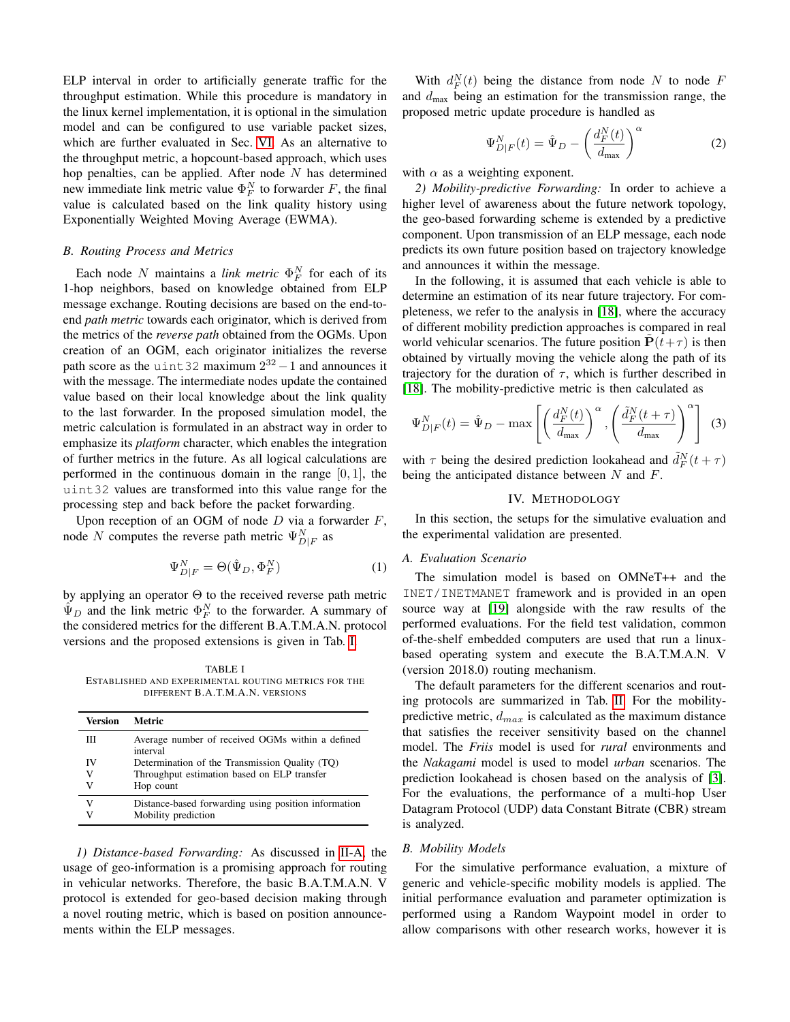ELP interval in order to artificially generate traffic for the throughput estimation. While this procedure is mandatory in the linux kernel implementation, it is optional in the simulation model and can be configured to use variable packet sizes, which are further evaluated in Sec. [VI.](#page-4-0) As an alternative to the throughput metric, a hopcount-based approach, which uses hop penalties, can be applied. After node  $N$  has determined new immediate link metric value  $\Phi_F^N$  to forwarder F, the final value is calculated based on the link quality history using Exponentially Weighted Moving Average (EWMA).

#### *B. Routing Process and Metrics*

Each node N maintains a *link metric*  $\Phi_F^N$  for each of its 1-hop neighbors, based on knowledge obtained from ELP message exchange. Routing decisions are based on the end-toend *path metric* towards each originator, which is derived from the metrics of the *reverse path* obtained from the OGMs. Upon creation of an OGM, each originator initializes the reverse path score as the uint 32 maximum  $2^{32} - 1$  and announces it with the message. The intermediate nodes update the contained value based on their local knowledge about the link quality to the last forwarder. In the proposed simulation model, the metric calculation is formulated in an abstract way in order to emphasize its *platform* character, which enables the integration of further metrics in the future. As all logical calculations are performed in the continuous domain in the range  $[0, 1]$ , the uint32 values are transformed into this value range for the processing step and back before the packet forwarding.

Upon reception of an OGM of node  $D$  via a forwarder  $F$ , node N computes the reverse path metric  $\Psi_{D|F}^{N}$  as

$$
\Psi_{D|F}^{N} = \Theta(\hat{\Psi}_{D}, \Phi_{F}^{N})
$$
\n(1)

by applying an operator Θ to the received reverse path metric  $\hat{\Psi}_D$  and the link metric  $\Phi_F^N$  to the forwarder. A summary of the considered metrics for the different B.A.T.M.A.N. protocol versions and the proposed extensions is given in Tab. [I.](#page-2-0)

<span id="page-2-0"></span>TABLE I ESTABLISHED AND EXPERIMENTAL ROUTING METRICS FOR THE DIFFERENT B.A.T.M.A.N. VERSIONS

| Version | Metric                                                                      |
|---------|-----------------------------------------------------------------------------|
| Ш       | Average number of received OGMs within a defined<br>interval                |
| IV      | Determination of the Transmission Quality (TQ)                              |
| V       | Throughput estimation based on ELP transfer                                 |
| V       | Hop count                                                                   |
| v<br>V  | Distance-based forwarding using position information<br>Mobility prediction |

*1) Distance-based Forwarding:* As discussed in [II-A,](#page-0-0) the usage of geo-information is a promising approach for routing in vehicular networks. Therefore, the basic B.A.T.M.A.N. V protocol is extended for geo-based decision making through a novel routing metric, which is based on position announcements within the ELP messages.

With  $d_F^N(t)$  being the distance from node N to node F and  $d_{\text{max}}$  being an estimation for the transmission range, the proposed metric update procedure is handled as

$$
\Psi_{D|F}^{N}(t) = \hat{\Psi}_{D} - \left(\frac{d_{F}^{N}(t)}{d_{\max}}\right)^{\alpha} \tag{2}
$$

with  $\alpha$  as a weighting exponent.

*2) Mobility-predictive Forwarding:* In order to achieve a higher level of awareness about the future network topology, the geo-based forwarding scheme is extended by a predictive component. Upon transmission of an ELP message, each node predicts its own future position based on trajectory knowledge and announces it within the message.

In the following, it is assumed that each vehicle is able to determine an estimation of its near future trajectory. For completeness, we refer to the analysis in [\[18\]](#page-6-11), where the accuracy of different mobility prediction approaches is compared in real world vehicular scenarios. The future position  $\dot{P}(t+\tau)$  is then obtained by virtually moving the vehicle along the path of its trajectory for the duration of  $\tau$ , which is further described in [\[18\]](#page-6-11). The mobility-predictive metric is then calculated as

$$
\Psi_{D|F}^{N}(t) = \hat{\Psi}_{D} - \max \left[ \left( \frac{d_{F}^{N}(t)}{d_{\max}} \right)^{\alpha}, \left( \frac{\tilde{d}_{F}^{N}(t+\tau)}{d_{\max}} \right)^{\alpha} \right] \tag{3}
$$

with  $\tau$  being the desired prediction lookahead and  $\tilde{d}_{F}^{N}(t+\tau)$ being the anticipated distance between  $N$  and  $F$ .

## IV. METHODOLOGY

In this section, the setups for the simulative evaluation and the experimental validation are presented.

#### *A. Evaluation Scenario*

The simulation model is based on OMNeT++ and the INET/INETMANET framework and is provided in an open source way at [\[19\]](#page-6-12) alongside with the raw results of the performed evaluations. For the field test validation, common of-the-shelf embedded computers are used that run a linuxbased operating system and execute the B.A.T.M.A.N. V (version 2018.0) routing mechanism.

The default parameters for the different scenarios and routing protocols are summarized in Tab. [II.](#page-3-1) For the mobilitypredictive metric,  $d_{max}$  is calculated as the maximum distance that satisfies the receiver sensitivity based on the channel model. The *Friis* model is used for *rural* environments and the *Nakagami* model is used to model *urban* scenarios. The prediction lookahead is chosen based on the analysis of [\[3\]](#page-5-2). For the evaluations, the performance of a multi-hop User Datagram Protocol (UDP) data Constant Bitrate (CBR) stream is analyzed.

#### *B. Mobility Models*

For the simulative performance evaluation, a mixture of generic and vehicle-specific mobility models is applied. The initial performance evaluation and parameter optimization is performed using a Random Waypoint model in order to allow comparisons with other research works, however it is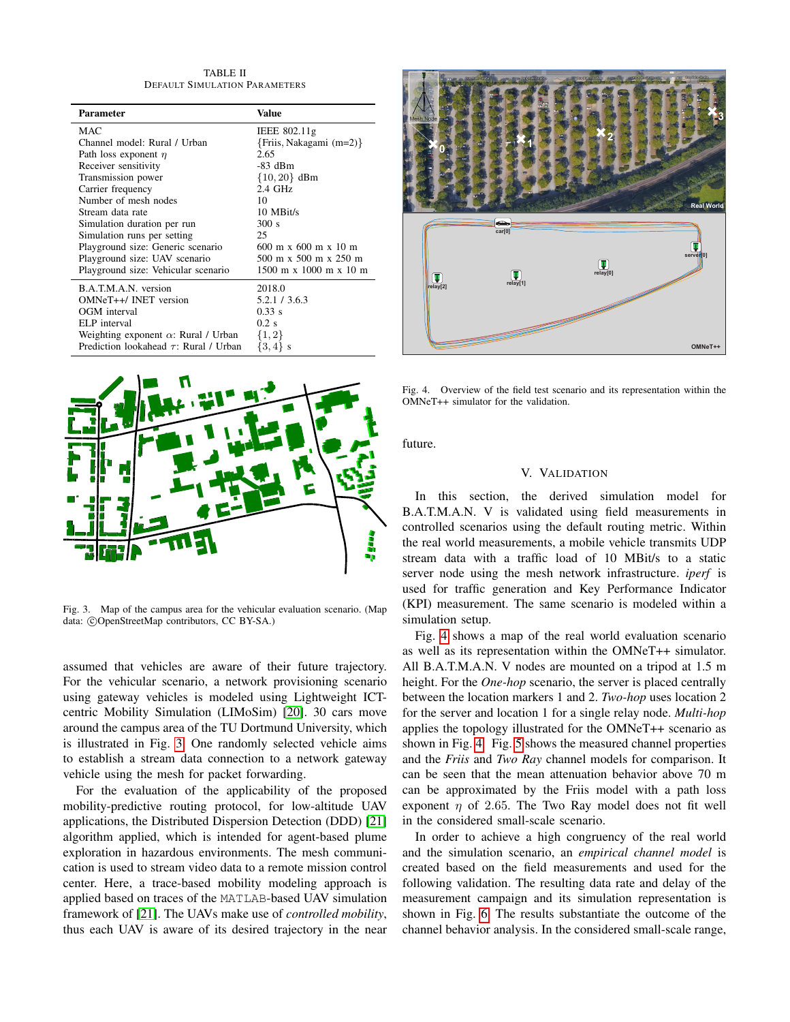TABLE II DEFAULT SIMULATION PARAMETERS

<span id="page-3-1"></span>

| Parameter                                   | Value                                                    |
|---------------------------------------------|----------------------------------------------------------|
| <b>MAC</b>                                  | IEEE 802.11g                                             |
| Channel model: Rural / Urban                | {Friis, Nakagami (m=2)}                                  |
| Path loss exponent $\eta$                   | 2.65                                                     |
| Receiver sensitivity                        | $-83$ dBm                                                |
| Transmission power                          | $\{10, 20\}$ dBm                                         |
| Carrier frequency                           | 2.4 GHz                                                  |
| Number of mesh nodes                        | 10                                                       |
| Stream data rate                            | 10 MBit/s                                                |
| Simulation duration per run                 | 300 s                                                    |
| Simulation runs per setting                 | 25                                                       |
| Playground size: Generic scenario           | $600 \text{ m} \times 600 \text{ m} \times 10 \text{ m}$ |
| Playground size: UAV scenario               | 500 m x 500 m x 250 m                                    |
| Playground size: Vehicular scenario         | 1500 m x 1000 m x 10 m                                   |
| B.A.T.M.A.N. version                        | 2018.0                                                   |
| OMNeT++/ INET version                       | 5.2.1 / 3.6.3                                            |
| OGM interval                                | 0.33 s                                                   |
| ELP interval                                | $0.2$ s                                                  |
| Weighting exponent $\alpha$ : Rural / Urban | $\{1,2\}$                                                |
| Prediction lookahead $\tau$ : Rural / Urban | $\{3,4\}$ s                                              |



<span id="page-3-2"></span>Fig. 3. Map of the campus area for the vehicular evaluation scenario. (Map data: ©OpenStreetMap contributors, CC BY-SA.)

assumed that vehicles are aware of their future trajectory. For the vehicular scenario, a network provisioning scenario using gateway vehicles is modeled using Lightweight ICTcentric Mobility Simulation (LIMoSim) [\[20\]](#page-6-13). 30 cars move around the campus area of the TU Dortmund University, which is illustrated in Fig. [3.](#page-3-2) One randomly selected vehicle aims to establish a stream data connection to a network gateway vehicle using the mesh for packet forwarding.

For the evaluation of the applicability of the proposed mobility-predictive routing protocol, for low-altitude UAV applications, the Distributed Dispersion Detection (DDD) [\[21\]](#page-6-14) algorithm applied, which is intended for agent-based plume exploration in hazardous environments. The mesh communication is used to stream video data to a remote mission control center. Here, a trace-based mobility modeling approach is applied based on traces of the MATLAB-based UAV simulation framework of [\[21\]](#page-6-14). The UAVs make use of *controlled mobility*, thus each UAV is aware of its desired trajectory in the near



Fig. 4. Overview of the field test scenario and its representation within the OMNeT++ simulator for the validation.

<span id="page-3-0"></span>future.

#### <span id="page-3-3"></span>V. VALIDATION

In this section, the derived simulation model for B.A.T.M.A.N. V is validated using field measurements in controlled scenarios using the default routing metric. Within the real world measurements, a mobile vehicle transmits UDP stream data with a traffic load of 10 MBit/s to a static server node using the mesh network infrastructure. *iperf* is used for traffic generation and Key Performance Indicator (KPI) measurement. The same scenario is modeled within a simulation setup.

Fig. [4](#page-3-3) shows a map of the real world evaluation scenario as well as its representation within the OMNeT++ simulator. All B.A.T.M.A.N. V nodes are mounted on a tripod at 1.5 m height. For the *One-hop* scenario, the server is placed centrally between the location markers 1 and 2. *Two-hop* uses location 2 for the server and location 1 for a single relay node. *Multi-hop* applies the topology illustrated for the OMNeT++ scenario as shown in Fig. [4.](#page-3-3) Fig. [5](#page-4-1) shows the measured channel properties and the *Friis* and *Two Ray* channel models for comparison. It can be seen that the mean attenuation behavior above 70 m can be approximated by the Friis model with a path loss exponent  $\eta$  of 2.65. The Two Ray model does not fit well in the considered small-scale scenario.

In order to achieve a high congruency of the real world and the simulation scenario, an *empirical channel model* is created based on the field measurements and used for the following validation. The resulting data rate and delay of the measurement campaign and its simulation representation is shown in Fig. [6.](#page-5-6) The results substantiate the outcome of the channel behavior analysis. In the considered small-scale range,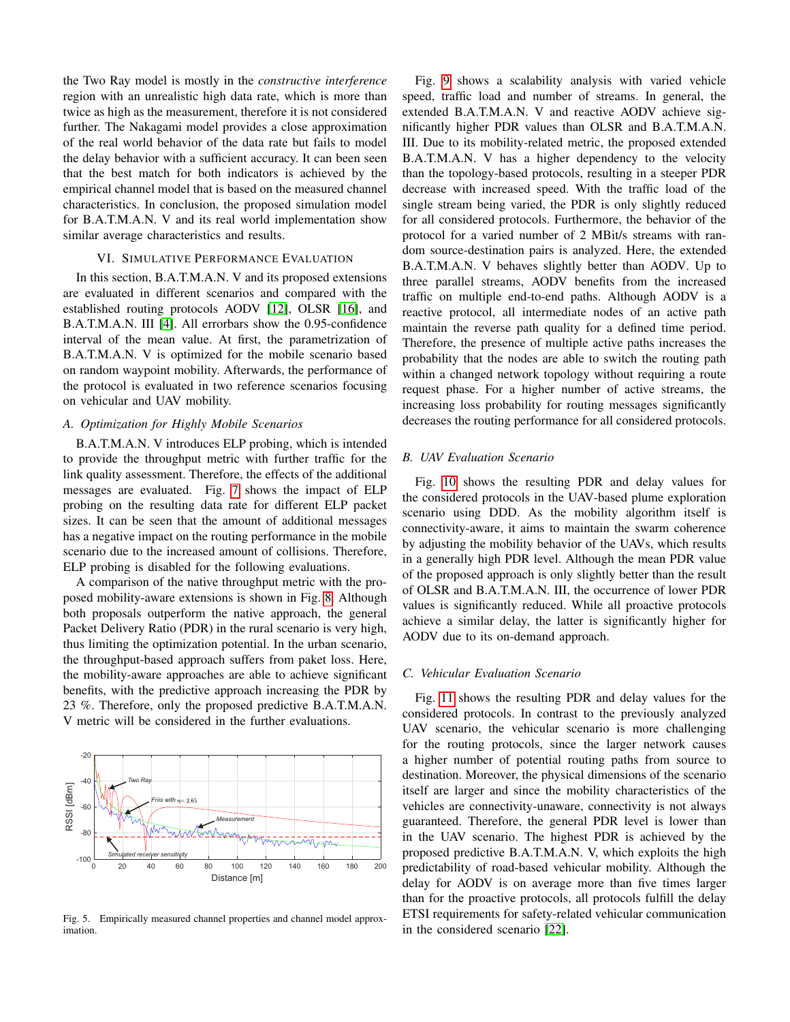the Two Ray model is mostly in the *constructive interference* region with an unrealistic high data rate, which is more than twice as high as the measurement, therefore it is not considered further. The Nakagami model provides a close approximation of the real world behavior of the data rate but fails to model the delay behavior with a sufficient accuracy. It can been seen that the best match for both indicators is achieved by the empirical channel model that is based on the measured channel characteristics. In conclusion, the proposed simulation model for B.A.T.M.A.N. V and its real world implementation show similar average characteristics and results.

#### VI. SIMULATIVE PERFORMANCE EVALUATION

<span id="page-4-0"></span>In this section, B.A.T.M.A.N. V and its proposed extensions are evaluated in different scenarios and compared with the established routing protocols AODV [\[12\]](#page-6-5), OLSR [\[16\]](#page-6-9), and B.A.T.M.A.N. III [\[4\]](#page-5-3). All errorbars show the 0.95-confidence interval of the mean value. At first, the parametrization of B.A.T.M.A.N. V is optimized for the mobile scenario based on random waypoint mobility. Afterwards, the performance of the protocol is evaluated in two reference scenarios focusing on vehicular and UAV mobility.

## *A. Optimization for Highly Mobile Scenarios*

B.A.T.M.A.N. V introduces ELP probing, which is intended to provide the throughput metric with further traffic for the link quality assessment. Therefore, the effects of the additional messages are evaluated. Fig. [7](#page-5-7) shows the impact of ELP probing on the resulting data rate for different ELP packet sizes. It can be seen that the amount of additional messages has a negative impact on the routing performance in the mobile scenario due to the increased amount of collisions. Therefore, ELP probing is disabled for the following evaluations.

A comparison of the native throughput metric with the proposed mobility-aware extensions is shown in Fig. [8.](#page-5-8) Although both proposals outperform the native approach, the general Packet Delivery Ratio (PDR) in the rural scenario is very high, thus limiting the optimization potential. In the urban scenario, the throughput-based approach suffers from paket loss. Here, the mobility-aware approaches are able to achieve significant benefits, with the predictive approach increasing the PDR by 23 %. Therefore, only the proposed predictive B.A.T.M.A.N. V metric will be considered in the further evaluations.



<span id="page-4-1"></span>Fig. 5. Empirically measured channel properties and channel model approximation.

Fig. [9](#page-6-15) shows a scalability analysis with varied vehicle speed, traffic load and number of streams. In general, the extended B.A.T.M.A.N. V and reactive AODV achieve significantly higher PDR values than OLSR and B.A.T.M.A.N. III. Due to its mobility-related metric, the proposed extended B.A.T.M.A.N. V has a higher dependency to the velocity than the topology-based protocols, resulting in a steeper PDR decrease with increased speed. With the traffic load of the single stream being varied, the PDR is only slightly reduced for all considered protocols. Furthermore, the behavior of the protocol for a varied number of 2 MBit/s streams with random source-destination pairs is analyzed. Here, the extended B.A.T.M.A.N. V behaves slightly better than AODV. Up to three parallel streams, AODV benefits from the increased traffic on multiple end-to-end paths. Although AODV is a reactive protocol, all intermediate nodes of an active path maintain the reverse path quality for a defined time period. Therefore, the presence of multiple active paths increases the probability that the nodes are able to switch the routing path within a changed network topology without requiring a route request phase. For a higher number of active streams, the increasing loss probability for routing messages significantly decreases the routing performance for all considered protocols.

## *B. UAV Evaluation Scenario*

Fig. [10](#page-6-16) shows the resulting PDR and delay values for the considered protocols in the UAV-based plume exploration scenario using DDD. As the mobility algorithm itself is connectivity-aware, it aims to maintain the swarm coherence by adjusting the mobility behavior of the UAVs, which results in a generally high PDR level. Although the mean PDR value of the proposed approach is only slightly better than the result of OLSR and B.A.T.M.A.N. III, the occurrence of lower PDR values is significantly reduced. While all proactive protocols achieve a similar delay, the latter is significantly higher for AODV due to its on-demand approach.

#### *C. Vehicular Evaluation Scenario*

Fig. [11](#page-6-17) shows the resulting PDR and delay values for the considered protocols. In contrast to the previously analyzed UAV scenario, the vehicular scenario is more challenging for the routing protocols, since the larger network causes a higher number of potential routing paths from source to destination. Moreover, the physical dimensions of the scenario itself are larger and since the mobility characteristics of the vehicles are connectivity-unaware, connectivity is not always guaranteed. Therefore, the general PDR level is lower than in the UAV scenario. The highest PDR is achieved by the proposed predictive B.A.T.M.A.N. V, which exploits the high predictability of road-based vehicular mobility. Although the delay for AODV is on average more than five times larger than for the proactive protocols, all protocols fulfill the delay ETSI requirements for safety-related vehicular communication in the considered scenario [\[22\]](#page-7-0).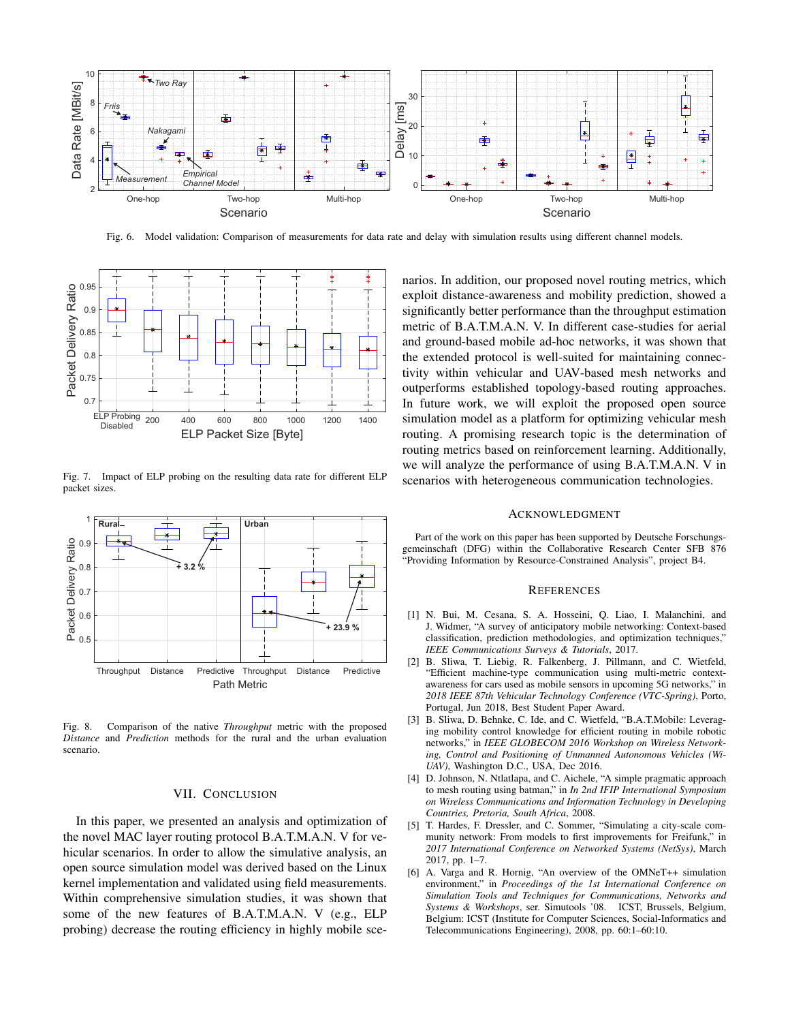

Fig. 6. Model validation: Comparison of measurements for data rate and delay with simulation results using different channel models.



<span id="page-5-7"></span>Fig. 7. Impact of ELP probing on the resulting data rate for different ELP packet sizes.



Fig. 8. Comparison of the native *Throughput* metric with the proposed *Distance* and *Prediction* methods for the rural and the urban evaluation scenario.

#### <span id="page-5-8"></span>VII. CONCLUSION

In this paper, we presented an analysis and optimization of the novel MAC layer routing protocol B.A.T.M.A.N. V for vehicular scenarios. In order to allow the simulative analysis, an open source simulation model was derived based on the Linux kernel implementation and validated using field measurements. Within comprehensive simulation studies, it was shown that some of the new features of B.A.T.M.A.N. V (e.g., ELP probing) decrease the routing efficiency in highly mobile sce-

<span id="page-5-6"></span>narios. In addition, our proposed novel routing metrics, which exploit distance-awareness and mobility prediction, showed a significantly better performance than the throughput estimation metric of B.A.T.M.A.N. V. In different case-studies for aerial and ground-based mobile ad-hoc networks, it was shown that the extended protocol is well-suited for maintaining connectivity within vehicular and UAV-based mesh networks and outperforms established topology-based routing approaches. In future work, we will exploit the proposed open source simulation model as a platform for optimizing vehicular mesh routing. A promising research topic is the determination of routing metrics based on reinforcement learning. Additionally, we will analyze the performance of using B.A.T.M.A.N. V in scenarios with heterogeneous communication technologies.

#### ACKNOWLEDGMENT

Part of the work on this paper has been supported by Deutsche Forschungsgemeinschaft (DFG) within the Collaborative Research Center SFB 876 "Providing Information by Resource-Constrained Analysis", project B4.

#### **REFERENCES**

- <span id="page-5-0"></span>[1] N. Bui, M. Cesana, S. A. Hosseini, Q. Liao, I. Malanchini, and J. Widmer, "A survey of anticipatory mobile networking: Context-based classification, prediction methodologies, and optimization techniques," *IEEE Communications Surveys & Tutorials*, 2017.
- <span id="page-5-1"></span>[2] B. Sliwa, T. Liebig, R. Falkenberg, J. Pillmann, and C. Wietfeld, "Efficient machine-type communication using multi-metric contextawareness for cars used as mobile sensors in upcoming 5G networks," in *2018 IEEE 87th Vehicular Technology Conference (VTC-Spring)*, Porto, Portugal, Jun 2018, Best Student Paper Award.
- <span id="page-5-2"></span>[3] B. Sliwa, D. Behnke, C. Ide, and C. Wietfeld, "B.A.T.Mobile: Leveraging mobility control knowledge for efficient routing in mobile robotic networks," in *IEEE GLOBECOM 2016 Workshop on Wireless Networking, Control and Positioning of Unmanned Autonomous Vehicles (Wi-UAV)*, Washington D.C., USA, Dec 2016.
- <span id="page-5-3"></span>[4] D. Johnson, N. Ntlatlapa, and C. Aichele, "A simple pragmatic approach to mesh routing using batman," in *In 2nd IFIP International Symposium on Wireless Communications and Information Technology in Developing Countries, Pretoria, South Africa*, 2008.
- <span id="page-5-4"></span>[5] T. Hardes, F. Dressler, and C. Sommer, "Simulating a city-scale community network: From models to first improvements for Freifunk," in *2017 International Conference on Networked Systems (NetSys)*, March 2017, pp. 1–7.
- <span id="page-5-5"></span>[6] A. Varga and R. Hornig, "An overview of the OMNeT++ simulation environment," in *Proceedings of the 1st International Conference on Simulation Tools and Techniques for Communications, Networks and Systems & Workshops*, ser. Simutools '08. ICST, Brussels, Belgium, Belgium: ICST (Institute for Computer Sciences, Social-Informatics and Telecommunications Engineering), 2008, pp. 60:1–60:10.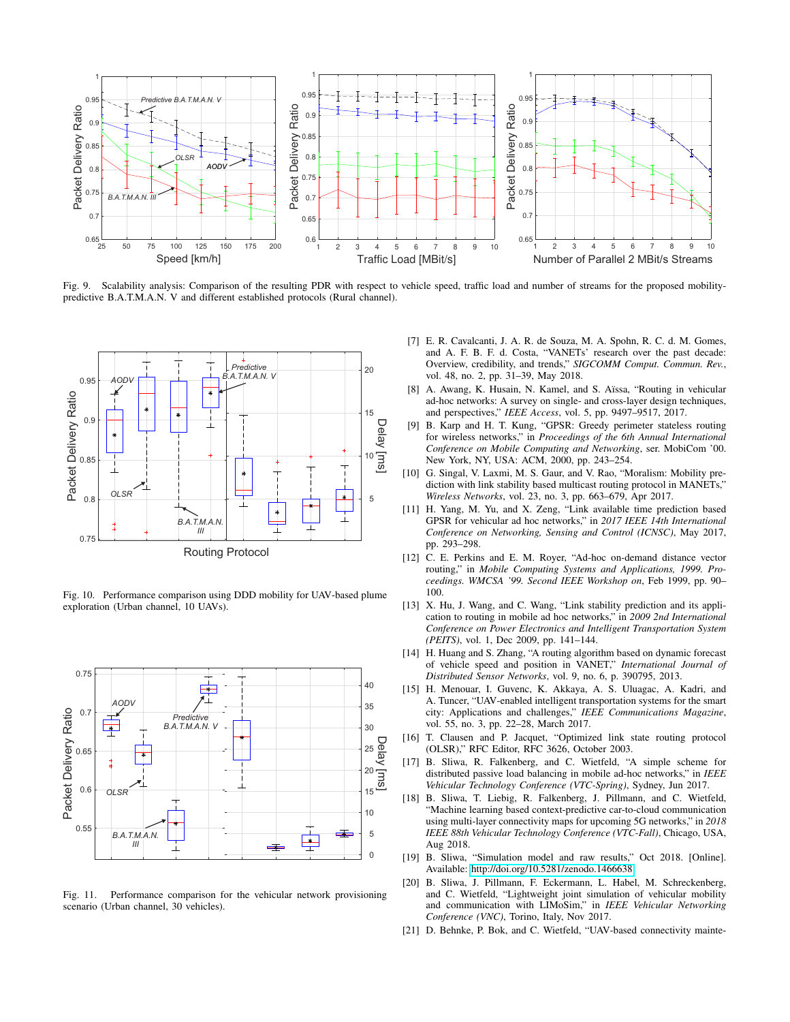

Fig. 9. Scalability analysis: Comparison of the resulting PDR with respect to vehicle speed, traffic load and number of streams for the proposed mobilitypredictive B.A.T.M.A.N. V and different established protocols (Rural channel).



<span id="page-6-16"></span>Fig. 10. Performance comparison using DDD mobility for UAV-based plume exploration (Urban channel, 10 UAVs).



<span id="page-6-17"></span>Fig. 11. Performance comparison for the vehicular network provisioning scenario (Urban channel, 30 vehicles).

- <span id="page-6-15"></span><span id="page-6-0"></span>[7] E. R. Cavalcanti, J. A. R. de Souza, M. A. Spohn, R. C. d. M. Gomes, and A. F. B. F. d. Costa, "VANETs' research over the past decade: Overview, credibility, and trends," *SIGCOMM Comput. Commun. Rev.*, vol. 48, no. 2, pp. 31–39, May 2018.
- <span id="page-6-1"></span>[8] A. Awang, K. Husain, N. Kamel, and S. Aïssa, "Routing in vehicular ad-hoc networks: A survey on single- and cross-layer design techniques, and perspectives," *IEEE Access*, vol. 5, pp. 9497–9517, 2017.
- <span id="page-6-2"></span>[9] B. Karp and H. T. Kung, "GPSR: Greedy perimeter stateless routing for wireless networks," in *Proceedings of the 6th Annual International Conference on Mobile Computing and Networking*, ser. MobiCom '00. New York, NY, USA: ACM, 2000, pp. 243–254.
- <span id="page-6-3"></span>[10] G. Singal, V. Laxmi, M. S. Gaur, and V. Rao, "Moralism: Mobility prediction with link stability based multicast routing protocol in MANETs," *Wireless Networks*, vol. 23, no. 3, pp. 663–679, Apr 2017.
- <span id="page-6-4"></span>[11] H. Yang, M. Yu, and X. Zeng, "Link available time prediction based GPSR for vehicular ad hoc networks," in *2017 IEEE 14th International Conference on Networking, Sensing and Control (ICNSC)*, May 2017, pp. 293–298.
- <span id="page-6-5"></span>[12] C. E. Perkins and E. M. Royer, "Ad-hoc on-demand distance vector routing," in *Mobile Computing Systems and Applications, 1999. Proceedings. WMCSA '99. Second IEEE Workshop on*, Feb 1999, pp. 90– 100.
- <span id="page-6-6"></span>[13] X. Hu, J. Wang, and C. Wang, "Link stability prediction and its application to routing in mobile ad hoc networks," in *2009 2nd International Conference on Power Electronics and Intelligent Transportation System (PEITS)*, vol. 1, Dec 2009, pp. 141–144.
- <span id="page-6-7"></span>[14] H. Huang and S. Zhang, "A routing algorithm based on dynamic forecast of vehicle speed and position in VANET," *International Journal of Distributed Sensor Networks*, vol. 9, no. 6, p. 390795, 2013.
- <span id="page-6-8"></span>[15] H. Menouar, I. Guvenc, K. Akkaya, A. S. Uluagac, A. Kadri, and A. Tuncer, "UAV-enabled intelligent transportation systems for the smart city: Applications and challenges," *IEEE Communications Magazine*, vol. 55, no. 3, pp. 22–28, March 2017.
- <span id="page-6-9"></span>[16] T. Clausen and P. Jacquet, "Optimized link state routing protocol (OLSR)," RFC Editor, RFC 3626, October 2003.
- <span id="page-6-10"></span>[17] B. Sliwa, R. Falkenberg, and C. Wietfeld, "A simple scheme for distributed passive load balancing in mobile ad-hoc networks," in *IEEE Vehicular Technology Conference (VTC-Spring)*, Sydney, Jun 2017.
- <span id="page-6-11"></span>[18] B. Sliwa, T. Liebig, R. Falkenberg, J. Pillmann, and C. Wietfeld, "Machine learning based context-predictive car-to-cloud communication using multi-layer connectivity maps for upcoming 5G networks," in *2018 IEEE 88th Vehicular Technology Conference (VTC-Fall)*, Chicago, USA, Aug 2018.
- <span id="page-6-12"></span>[19] B. Sliwa, "Simulation model and raw results," Oct 2018. [Online]. Available:<http://doi.org/10.5281/zenodo.1466638>
- <span id="page-6-13"></span>[20] B. Sliwa, J. Pillmann, F. Eckermann, L. Habel, M. Schreckenberg, and C. Wietfeld, "Lightweight joint simulation of vehicular mobility and communication with LIMoSim," in *IEEE Vehicular Networking Conference (VNC)*, Torino, Italy, Nov 2017.
- <span id="page-6-14"></span>[21] D. Behnke, P. Bok, and C. Wietfeld, "UAV-based connectivity mainte-